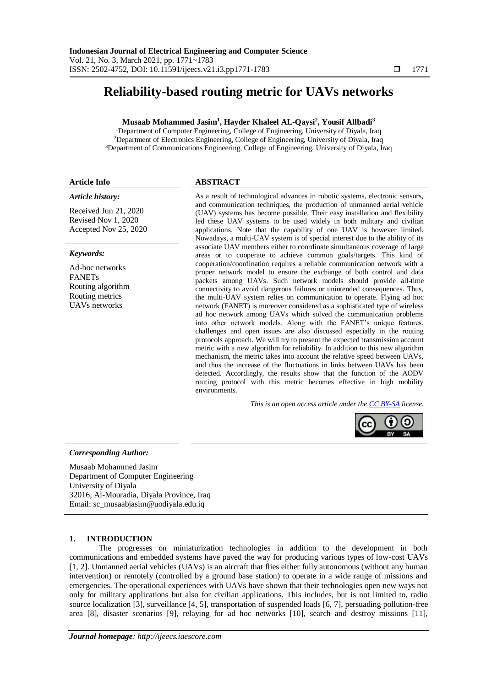# **Reliability-based routing metric for UAVs networks**

# **Musaab Mohammed Jasim<sup>1</sup> , Hayder Khaleel AL-Qaysi<sup>2</sup> , Yousif Allbadi<sup>3</sup>**

<sup>1</sup>Department of Computer Engineering, College of Engineering, University of Diyala, Iraq <sup>2</sup>Department of Electronics Engineering, College of Engineering, University of Diyala, Iraq <sup>3</sup>Department of Communications Engineering, College of Engineering, University of Diyala, Iraq

#### *Article history:*

Received Jun 21, 2020 Revised Nov 1, 2020 Accepted Nov 25, 2020

#### *Keywords:*

Ad-hoc networks FANETs Routing algorithm Routing metrics UAVs networks

# **Article Info ABSTRACT**

As a result of technological advances in robotic systems, electronic sensors, and communication techniques, the production of unmanned aerial vehicle (UAV) systems has become possible. Their easy installation and flexibility led these UAV systems to be used widely in both military and civilian applications. Note that the capability of one UAV is however limited. Nowadays, a multi-UAV system is of special interest due to the ability of its associate UAV members either to coordinate simultaneous coverage of large areas or to cooperate to achieve common goals/targets. This kind of cooperation/coordination requires a reliable communication network with a proper network model to ensure the exchange of both control and data packets among UAVs. Such network models should provide all-time connectivity to avoid dangerous failures or unintended consequences. Thus, the multi-UAV system relies on communication to operate. Flying ad hoc network (FANET) is moreover considered as a sophisticated type of wireless ad hoc network among UAVs which solved the communication problems into other network models. Along with the FANET's unique features, challenges and open issues are also discussed especially in the routing protocols approach. We will try to present the expected transmission account metric with a new algorithm for reliability. In addition to this new algorithm mechanism, the metric takes into account the relative speed between UAVs, and thus the increase of the fluctuations in links between UAVs has been detected. Accordingly, the results show that the function of the AODV routing protocol with this metric becomes effective in high mobility environments.

*This is an open access article under the [CC BY-SA](https://creativecommons.org/licenses/by-sa/4.0/) license.*



#### *Corresponding Author:*

Musaab Mohammed Jasim Department of Computer Engineering University of Diyala 32016, Al-Mouradia, Diyala Province, Iraq Email: sc\_musaabjasim@uodiyala.edu.iq

#### **1. INTRODUCTION**

The progresses on miniaturization technologies in addition to the development in both communications and embedded systems have paved the way for producing various types of low-cost UAVs [1, 2]. Unmanned aerial vehicles (UAVs) is an aircraft that flies either fully autonomous (without any human intervention) or remotely (controlled by a ground base station) to operate in a wide range of missions and emergencies. The operational experiences with UAVs have shown that their technologies open new ways not only for military applications but also for civilian applications. This includes, but is not limited to, radio source localization [3], surveillance [4, 5], transportation of suspended loads [6, 7], persuading pollution-free area [8], disaster scenarios [9], relaying for ad hoc networks [10], search and destroy missions [11],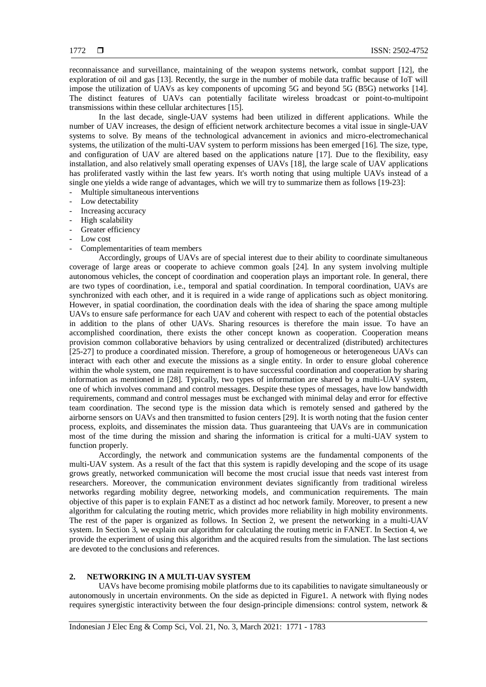reconnaissance and surveillance, maintaining of the weapon systems network, combat support [12], the exploration of oil and gas [13]. Recently, the surge in the number of mobile data traffic because of IoT will impose the utilization of UAVs as key components of upcoming 5G and beyond 5G (B5G) networks [14]. The distinct features of UAVs can potentially facilitate wireless broadcast or point-to-multipoint transmissions within these cellular architectures [15].

In the last decade, single-UAV systems had been utilized in different applications. While the number of UAV increases, the design of efficient network architecture becomes a vital issue in single-UAV systems to solve. By means of the technological advancement in avionics and micro-electromechanical systems, the utilization of the multi-UAV system to perform missions has been emerged [16]. The size, type, and configuration of UAV are altered based on the applications nature [17]. Due to the flexibility, easy installation, and also relatively small operating expenses of UAVs [18], the large scale of UAV applications has proliferated vastly within the last few years. It's worth noting that using multiple UAVs instead of a single one yields a wide range of advantages, which we will try to summarize them as follows [19-23]:

- Multiple simultaneous interventions
- Low detectability
- Increasing accuracy
- High scalability
- Greater efficiency
- Low cost
- Complementarities of team members

Accordingly, groups of UAVs are of special interest due to their ability to coordinate simultaneous coverage of large areas or cooperate to achieve common goals [24]. In any system involving multiple autonomous vehicles, the concept of coordination and cooperation plays an important role. In general, there are two types of coordination, i.e., temporal and spatial coordination. In temporal coordination, UAVs are synchronized with each other, and it is required in a wide range of applications such as object monitoring. However, in spatial coordination, the coordination deals with the idea of sharing the space among multiple UAVs to ensure safe performance for each UAV and coherent with respect to each of the potential obstacles in addition to the plans of other UAVs. Sharing resources is therefore the main issue. To have an accomplished coordination, there exists the other concept known as cooperation. Cooperation means provision common collaborative behaviors by using centralized or decentralized (distributed) architectures [25-27] to produce a coordinated mission. Therefore, a group of homogeneous or heterogeneous UAVs can interact with each other and execute the missions as a single entity. In order to ensure global coherence within the whole system, one main requirement is to have successful coordination and cooperation by sharing information as mentioned in [28]. Typically, two types of information are shared by a multi-UAV system, one of which involves command and control messages. Despite these types of messages, have low bandwidth requirements, command and control messages must be exchanged with minimal delay and error for effective team coordination. The second type is the mission data which is remotely sensed and gathered by the airborne sensors on UAVs and then transmitted to fusion centers [29]. It is worth noting that the fusion center process, exploits, and disseminates the mission data. Thus guaranteeing that UAVs are in communication most of the time during the mission and sharing the information is critical for a multi-UAV system to function properly.

Accordingly, the network and communication systems are the fundamental components of the multi-UAV system. As a result of the fact that this system is rapidly developing and the scope of its usage grows greatly, networked communication will become the most crucial issue that needs vast interest from researchers. Moreover, the communication environment deviates significantly from traditional wireless networks regarding mobility degree, networking models, and communication requirements. The main objective of this paper is to explain FANET as a distinct ad hoc network family. Moreover, to present a new algorithm for calculating the routing metric, which provides more reliability in high mobility environments. The rest of the paper is organized as follows. In Section 2, we present the networking in a multi-UAV system. In Section 3, we explain our algorithm for calculating the routing metric in FANET. In Section 4, we provide the experiment of using this algorithm and the acquired results from the simulation. The last sections are devoted to the conclusions and references.

#### **2. NETWORKING IN A MULTI-UAV SYSTEM**

UAVs have become promising mobile platforms due to its capabilities to navigate simultaneously or autonomously in uncertain environments. On the side as depicted in Figure1. A network with flying nodes requires synergistic interactivity between the four design-principle dimensions: control system, network &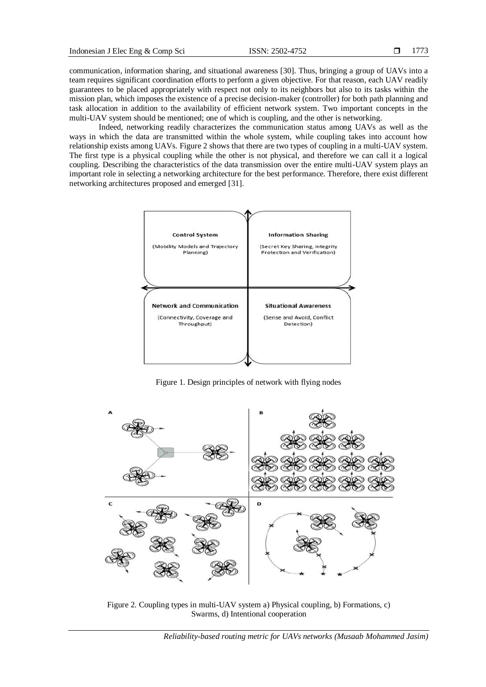communication, information sharing, and situational awareness [30]. Thus, bringing a group of UAVs into a team requires significant coordination efforts to perform a given objective. For that reason, each UAV readily guarantees to be placed appropriately with respect not only to its neighbors but also to its tasks within the mission plan, which imposes the existence of a precise decision-maker (controller) for both path planning and task allocation in addition to the availability of efficient network system. Two important concepts in the multi-UAV system should be mentioned; one of which is coupling, and the other is networking.

Indeed, networking readily characterizes the communication status among UAVs as well as the ways in which the data are transmitted within the whole system, while coupling takes into account how relationship exists among UAVs. Figure 2 shows that there are two types of coupling in a multi-UAV system. The first type is a physical coupling while the other is not physical, and therefore we can call it a logical coupling. Describing the characteristics of the data transmission over the entire multi-UAV system plays an important role in selecting a networking architecture for the best performance. Therefore, there exist different networking architectures proposed and emerged [31].



Figure 1. Design principles of network with flying nodes



Figure 2. Coupling types in multi-UAV system a) Physical coupling, b) Formations, c) Swarms, d) Intentional cooperation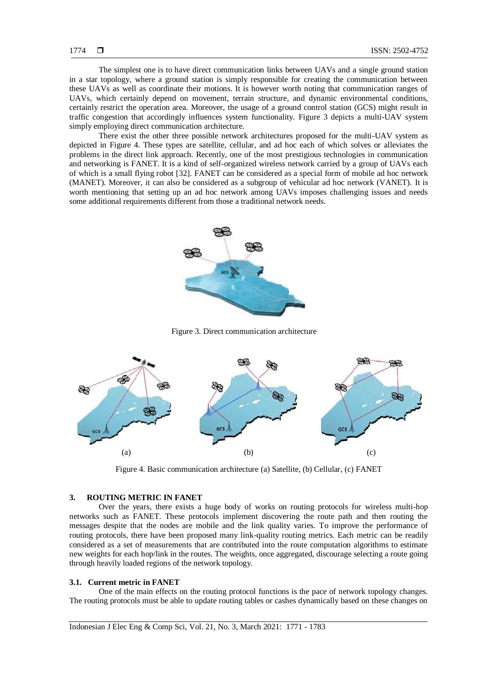The simplest one is to have direct communication links between UAVs and a single ground station in a star topology, where a ground station is simply responsible for creating the communication between these UAVs as well as coordinate their motions. It is however worth noting that communication ranges of UAVs, which certainly depend on movement, terrain structure, and dynamic environmental conditions, certainly restrict the operation area. Moreover, the usage of a ground control station (GCS) might result in traffic congestion that accordingly influences system functionality. Figure 3 depicts a multi-UAV system simply employing direct communication architecture.

There exist the other three possible network architectures proposed for the multi-UAV system as depicted in Figure 4. These types are satellite, cellular, and ad hoc each of which solves or alleviates the problems in the direct link approach. Recently, one of the most prestigious technologies in communication and networking is FANET. It is a kind of self-organized wireless network carried by a group of UAVs each of which is a small flying robot [32]. FANET can be considered as a special form of mobile ad hoc network (MANET). Moreover, it can also be considered as a subgroup of vehicular ad hoc network (VANET). It is worth mentioning that setting up an ad hoc network among UAVs imposes challenging issues and needs some additional requirements different from those a traditional network needs.



Figure 3. Direct communication architecture



Figure 4. Basic communication architecture (a) Satellite, (b) Cellular, (c) FANET

# **3. ROUTING METRIC IN FANET**

Over the years, there exists a huge body of works on routing protocols for wireless multi-hop networks such as FANET. These protocols implement discovering the route path and then routing the messages despite that the nodes are mobile and the link quality varies. To improve the performance of routing protocols, there have been proposed many link-quality routing metrics. Each metric can be readily considered as a set of measurements that are contributed into the route computation algorithms to estimate new weights for each hop/link in the routes. The weights, once aggregated, discourage selecting a route going through heavily loaded regions of the network topology.

#### **3.1. Current metric in FANET**

One of the main effects on the routing protocol functions is the pace of network topology changes. The routing protocols must be able to update routing tables or cashes dynamically based on these changes on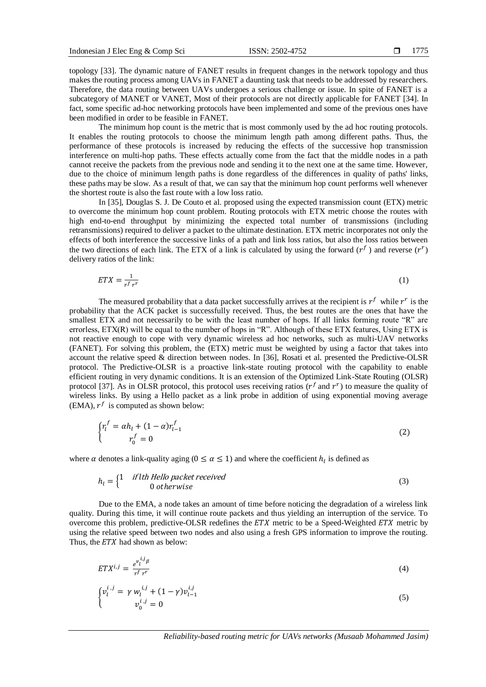topology [33]. The dynamic nature of FANET results in frequent changes in the network topology and thus makes the routing process among UAVs in FANET a daunting task that needs to be addressed by researchers. Therefore, the data routing between UAVs undergoes a serious challenge or issue. In spite of FANET is a subcategory of MANET or VANET, Most of their protocols are not directly applicable for FANET [34]. In fact, some specific ad-hoc networking protocols have been implemented and some of the previous ones have been modified in order to be feasible in FANET.

The minimum hop count is the metric that is most commonly used by the ad hoc routing protocols. It enables the routing protocols to choose the minimum length path among different paths. Thus, the performance of these protocols is increased by reducing the effects of the successive hop transmission interference on multi-hop paths. These effects actually come from the fact that the middle nodes in a path cannot receive the packets from the previous node and sending it to the next one at the same time. However, due to the choice of minimum length paths is done regardless of the differences in quality of paths' links, these paths may be slow. As a result of that, we can say that the minimum hop count performs well whenever the shortest route is also the fast route with a low loss ratio.

In [35], Douglas S. J. De Couto et al. proposed using the expected transmission count (ETX) metric to overcome the minimum hop count problem. Routing protocols with ETX metric choose the routes with high end-to-end throughput by minimizing the expected total number of transmissions (including retransmissions) required to deliver a packet to the ultimate destination. ETX metric incorporates not only the effects of both interference the successive links of a path and link loss ratios, but also the loss ratios between the two directions of each link. The ETX of a link is calculated by using the forward  $(r<sup>f</sup>)$  and reverse  $(r<sup>r</sup>)$ delivery ratios of the link:

$$
ETX = \frac{1}{r^f r^r} \tag{1}
$$

The measured probability that a data packet successfully arrives at the recipient is  $r<sup>f</sup>$  while  $r<sup>r</sup>$  is the probability that the ACK packet is successfully received. Thus, the best routes are the ones that have the smallest ETX and not necessarily to be with the least number of hops. If all links forming route "R" are errorless, ETX(R) will be equal to the number of hops in "R". Although of these ETX features, Using ETX is not reactive enough to cope with very dynamic wireless ad hoc networks, such as multi-UAV networks (FANET). For solving this problem, the (ETX) metric must be weighted by using a factor that takes into account the relative speed & direction between nodes. In [36], Rosati et al. presented the Predictive-OLSR protocol. The Predictive-OLSR is a proactive link-state routing protocol with the capability to enable efficient routing in very dynamic conditions. It is an extension of the Optimized Link-State Routing (OLSR) protocol [37]. As in OLSR protocol, this protocol uses receiving ratios ( $r<sup>f</sup>$  and  $r<sup>r</sup>$ ) to measure the quality of wireless links. By using a Hello packet as a link probe in addition of using exponential moving average (EMA),  $r^f$  is computed as shown below:

$$
\begin{cases} r_l^f = \alpha h_l + (1 - \alpha) r_{l-1}^f \\ r_0^f = 0 \end{cases} \tag{2}
$$

where  $\alpha$  denotes a link-quality aging ( $0 \le \alpha \le 1$ ) and where the coefficient  $h_l$  is defined as

$$
h_l = \begin{cases} 1 & if lth Hello packet received \\ 0 & otherwise \end{cases}
$$
 (3)

Due to the EMA, a node takes an amount of time before noticing the degradation of a wireless link quality. During this time, it will continue route packets and thus yielding an interruption of the service. To overcome this problem, predictive-OLSR redefines the  $ETX$  metric to be a Speed-Weighted  $ETX$  metric by using the relative speed between two nodes and also using a fresh GPS information to improve the routing. Thus, the  $ETX$  had shown as below:

$$
ETX^{i,j} = \frac{e^{v_i^{i,j}\beta}}{r^f r^r} \tag{4}
$$

$$
\begin{cases} v_l^{i,j} = \gamma w_l^{i,j} + (1 - \gamma) v_{l-1}^{i,j} \\ v_0^{i,j} = 0 \end{cases}
$$
 (5)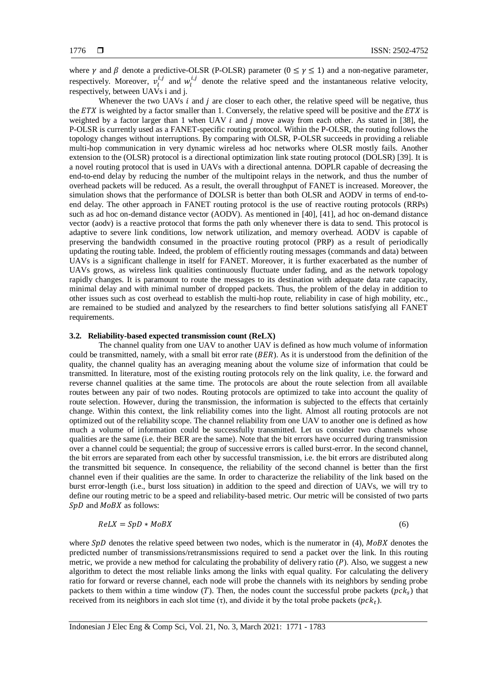where  $\gamma$  and  $\beta$  denote a predictive-OLSR (P-OLSR) parameter ( $0 \le \gamma \le 1$ ) and a non-negative parameter, respectively. Moreover,  $v_l^{i,j}$  and  $w_l^{i,j}$  denote the relative speed and the instantaneous relative velocity, respectively, between UAVs i and j.

Whenever the two UAVs  $i$  and  $j$  are closer to each other, the relative speed will be negative, thus the ETX is weighted by a factor smaller than 1. Conversely, the relative speed will be positive and the  $ETX$  is weighted by a factor larger than 1 when UAV  $i$  and  $j$  move away from each other. As stated in [38], the P-OLSR is currently used as a FANET-specific routing protocol. Within the P-OLSR, the routing follows the topology changes without interruptions. By comparing with OLSR, P-OLSR succeeds in providing a reliable multi-hop communication in very dynamic wireless ad hoc networks where OLSR mostly fails. Another extension to the (OLSR) protocol is a directional optimization link state routing protocol (DOLSR) [39]. It is a novel routing protocol that is used in UAVs with a directional antenna. DOPLR capable of decreasing the end-to-end delay by reducing the number of the multipoint relays in the network, and thus the number of overhead packets will be reduced. As a result, the overall throughput of FANET is increased. Moreover, the simulation shows that the performance of DOLSR is better than both OLSR and AODV in terms of end-toend delay. The other approach in FANET routing protocol is the use of reactive routing protocols (RRPs) such as ad hoc on-demand distance vector (AODV). As mentioned in [40], [41], ad hoc on-demand distance vector (aodv) is a reactive protocol that forms the path only whenever there is data to send. This protocol is adaptive to severe link conditions, low network utilization, and memory overhead. AODV is capable of preserving the bandwidth consumed in the proactive routing protocol (PRP) as a result of periodically updating the routing table. Indeed, the problem of efficiently routing messages (commands and data) between UAVs is a significant challenge in itself for FANET. Moreover, it is further exacerbated as the number of UAVs grows, as wireless link qualities continuously fluctuate under fading, and as the network topology rapidly changes. It is paramount to route the messages to its destination with adequate data rate capacity, minimal delay and with minimal number of dropped packets. Thus, the problem of the delay in addition to other issues such as cost overhead to establish the multi-hop route, reliability in case of high mobility, etc., are remained to be studied and analyzed by the researchers to find better solutions satisfying all FANET requirements.

# **3.2. Reliability-based expected transmission count (ReLX)**

The channel quality from one UAV to another UAV is defined as how much volume of information could be transmitted, namely, with a small bit error rate  $(BER)$ . As it is understood from the definition of the quality, the channel quality has an averaging meaning about the volume size of information that could be transmitted. In literature, most of the existing routing protocols rely on the link quality, i.e. the forward and reverse channel qualities at the same time. The protocols are about the route selection from all available routes between any pair of two nodes. Routing protocols are optimized to take into account the quality of route selection. However, during the transmission, the information is subjected to the effects that certainly change. Within this context, the link reliability comes into the light. Almost all routing protocols are not optimized out of the reliability scope. The channel reliability from one UAV to another one is defined as how much a volume of information could be successfully transmitted. Let us consider two channels whose qualities are the same (i.e. their BER are the same). Note that the bit errors have occurred during transmission over a channel could be sequential; the group of successive errors is called burst-error. In the second channel, the bit errors are separated from each other by successful transmission, i.e. the bit errors are distributed along the transmitted bit sequence. In consequence, the reliability of the second channel is better than the first channel even if their qualities are the same. In order to characterize the reliability of the link based on the burst error-length (i.e., burst loss situation) in addition to the speed and direction of UAVs, we will try to define our routing metric to be a speed and reliability-based metric. Our metric will be consisted of two parts  $SpD$  and  $MoBX$  as follows:

$$
ReLU = SpD * MOBX \tag{6}
$$

where  $SpD$  denotes the relative speed between two nodes, which is the numerator in (4),  $MoBX$  denotes the predicted number of transmissions/retransmissions required to send a packet over the link. In this routing metric, we provide a new method for calculating the probability of delivery ratio  $(P)$ . Also, we suggest a new algorithm to detect the most reliable links among the links with equal quality. For calculating the delivery ratio for forward or reverse channel, each node will probe the channels with its neighbors by sending probe packets to them within a time window (T). Then, the nodes count the successful probe packets ( $pck<sub>s</sub>$ ) that received from its neighbors in each slot time  $(\tau)$ , and divide it by the total probe packets  $(pck_t)$ .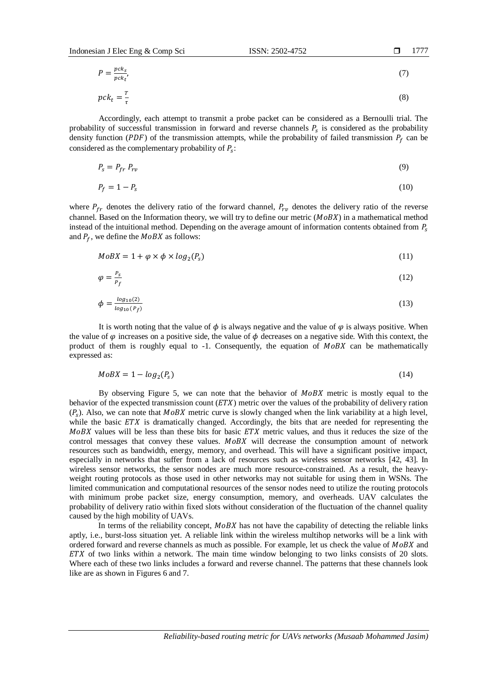$$
\Box \qquad 1777
$$

$$
P = \frac{pck_s}{pck_t'},\tag{7}
$$

$$
pck_t = \frac{r}{\tau} \tag{8}
$$

Accordingly, each attempt to transmit a probe packet can be considered as a Bernoulli trial. The probability of successful transmission in forward and reverse channels  $P_s$  is considered as the probability density function (PDF) of the transmission attempts, while the probability of failed transmission  $P_f$  can be considered as the complementary probability of  $P_s$ :

$$
P_s = P_{fr} P_{rv} \tag{9}
$$

$$
P_f = 1 - P_s \tag{10}
$$

where  $P_{fr}$  denotes the delivery ratio of the forward channel,  $P_{rr}$  denotes the delivery ratio of the reverse channel. Based on the Information theory, we will try to define our metric  $(MoBX)$  in a mathematical method instead of the intuitional method. Depending on the average amount of information contents obtained from  $P_s$ and  $P_f$ , we define the  $MoBX$  as follows:

$$
MoBX = 1 + \varphi \times \varphi \times log_2(P_s)
$$
\n(11)

$$
\varphi = \frac{P_S}{P_f} \tag{12}
$$

$$
\phi = \frac{\log_{10}(2)}{\log_{10}(P_f)}\tag{13}
$$

It is worth noting that the value of  $\phi$  is always negative and the value of  $\varphi$  is always positive. When the value of  $\varphi$  increases on a positive side, the value of  $\varphi$  decreases on a negative side. With this context, the product of them is roughly equal to  $-1$ . Consequently, the equation of  $M \text{o} BX$  can be mathematically expressed as:

$$
MoBX = 1 - log2(Ps)
$$
\n(14)

By observing Figure 5, we can note that the behavior of  $MoBX$  metric is mostly equal to the behavior of the expected transmission count  $(ETX)$  metric over the values of the probability of delivery ration  $(P_s)$ . Also, we can note that MoBX metric curve is slowly changed when the link variability at a high level, while the basic  $ETX$  is dramatically changed. Accordingly, the bits that are needed for representing the  $MoBX$  values will be less than these bits for basic  $ETX$  metric values, and thus it reduces the size of the control messages that convey these values. MoBX will decrease the consumption amount of network resources such as bandwidth, energy, memory, and overhead. This will have a significant positive impact, especially in networks that suffer from a lack of resources such as wireless sensor networks [42, 43]. In wireless sensor networks, the sensor nodes are much more resource-constrained. As a result, the heavyweight routing protocols as those used in other networks may not suitable for using them in WSNs. The limited communication and computational resources of the sensor nodes need to utilize the routing protocols with minimum probe packet size, energy consumption, memory, and overheads. UAV calculates the probability of delivery ratio within fixed slots without consideration of the fluctuation of the channel quality caused by the high mobility of UAVs.

In terms of the reliability concept,  $MoBX$  has not have the capability of detecting the reliable links aptly, i.e., burst-loss situation yet. A reliable link within the wireless multihop networks will be a link with ordered forward and reverse channels as much as possible. For example, let us check the value of  $MoBX$  and  $ETX$  of two links within a network. The main time window belonging to two links consists of 20 slots. Where each of these two links includes a forward and reverse channel. The patterns that these channels look like are as shown in Figures 6 and 7.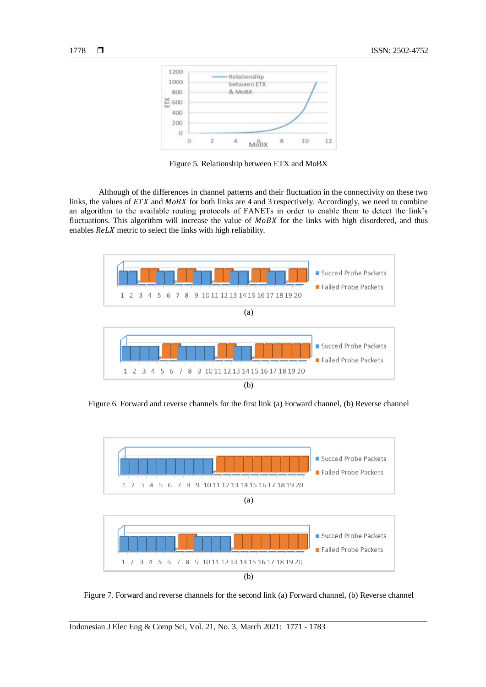

Figure 5. Relationship between ETX and MoBX

Although of the differences in channel patterns and their fluctuation in the connectivity on these two links, the values of  $ETX$  and  $MoBX$  for both links are 4 and 3 respectively. Accordingly, we need to combine an algorithm to the available routing protocols of FANETs in order to enable them to detect the link's fluctuations. This algorithm will increase the value of  $MoBX$  for the links with high disordered, and thus enables ReLX metric to select the links with high reliability.



Figure 6. Forward and reverse channels for the first link (a) Forward channel, (b) Reverse channel



Figure 7. Forward and reverse channels for the second link (a) Forward channel, (b) Reverse channel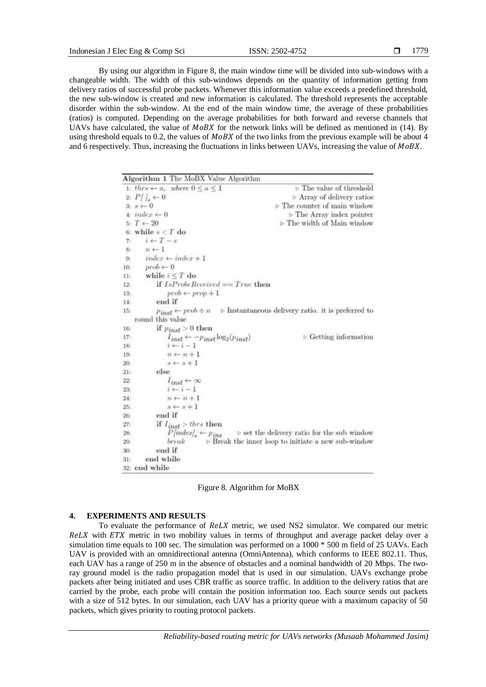By using our algorithm in Figure 8, the main window time will be divided into sub-windows with a changeable width. The width of this sub-windows depends on the quantity of information getting from delivery ratios of successful probe packets. Whenever this information value exceeds a predefined threshold, the new sub-window is created and new information is calculated. The threshold represents the acceptable disorder within the sub-window. At the end of the main window time, the average of these probabilities (ratios) is computed. Depending on the average probabilities for both forward and reverse channels that UAVs have calculated, the value of  $MOBX$  for the network links will be defined as mentioned in (14). By using threshold equals to 0.2, the values of  $MOBX$  of the two links from the previous example will be about 4 and 6 respectively. Thus, increasing the fluctuations in links between UAVs, increasing the value of  $MoBX$ .

| Algorithm 1 The MoBX Value Algorithm                         |                                                                    |
|--------------------------------------------------------------|--------------------------------------------------------------------|
| 1: thrs $\leftarrow a$ , where $0 \le a \le 1$               | $\triangleright$ The value of threshold                            |
| $2: P/J_s \leftarrow 0$                                      | > Array of delivery ratios                                         |
| $3: s \leftarrow 0$                                          | $\triangleright$ The counter of main window                        |
| 4: $index \leftarrow 0$                                      | $\triangleright$ The Array index pointer                           |
| 5: $T \leftarrow 20$                                         | $\triangleright$ The width of Main window                          |
| 6: while $s < T$ do                                          |                                                                    |
| $i \leftarrow T - s$<br>$T_1$                                |                                                                    |
| $n \leftarrow 1$<br>8:                                       |                                                                    |
| $index \leftarrow index + 1$<br>9:                           |                                                                    |
| $prob \leftarrow 0$<br>$10$ :                                |                                                                    |
| while $i \leq T$ do<br>H:                                    |                                                                    |
| if $IsProbeReceived == True$ then<br>12:                     |                                                                    |
| $prob \leftarrow prop + 1$<br>13:                            |                                                                    |
| end if<br>14:                                                |                                                                    |
| $p_{inst} \leftarrow prob \div n$<br>15:<br>round this value | <b>b</b> Instantaneous delivery ratio, it is preferred to          |
| if $p_{inst} > 0$ then<br>16:                                |                                                                    |
| $I_{inst} \leftarrow -p_{inst} \log_2(p_{inst})$<br>17:      | $\triangleright$ Getting information                               |
| $i \leftarrow i - 1$<br>18:                                  |                                                                    |
| $n \leftarrow n + 1$<br>19:                                  |                                                                    |
| $s + s + 1$<br>20:                                           |                                                                    |
| else<br>21:                                                  |                                                                    |
| $l_{inst} \leftarrow \infty$<br>22:                          |                                                                    |
| $i \leftarrow i-1$<br>23:                                    |                                                                    |
| $n \leftarrow n+1$<br>24:                                    |                                                                    |
| $s \leftarrow s + 1$<br>25:                                  |                                                                    |
| end if<br>26:                                                |                                                                    |
| if $I_{inst}$ > thrs then<br>27:                             |                                                                    |
| $P[index]_{*} \leftarrow p_{ins}$<br>28:                     | $\triangleright$ set the delivery ratio for the sub window         |
| break<br>29:                                                 | $\triangleright$ Break the inner loop to initiate a new sub-window |
| end if<br>30:                                                |                                                                    |
| end while<br>31 <sub>1</sub>                                 |                                                                    |
| 32: end while                                                |                                                                    |

Figure 8. Algorithm for MoBX

### **4. EXPERIMENTS AND RESULTS**

To evaluate the performance of ReLX metric, we used NS2 simulator. We compared our metric  $ReLU$  with  $ETX$  metric in two mobility values in terms of throughput and average packet delay over a simulation time equals to 100 sec. The simulation was performed on a 1000 \* 500 m field of 25 UAVs. Each UAV is provided with an omnidirectional antenna (OmniAntenna), which conforms to IEEE 802.11. Thus, each UAV has a range of 250 m in the absence of obstacles and a nominal bandwidth of 20 Mbps. The tworay ground model is the radio propagation model that is used in our simulation. UAVs exchange probe packets after being initiated and uses CBR traffic as source traffic. In addition to the delivery ratios that are carried by the probe, each probe will contain the position information too. Each source sends out packets with a size of 512 bytes. In our simulation, each UAV has a priority queue with a maximum capacity of 50 packets, which gives priority to routing protocol packets.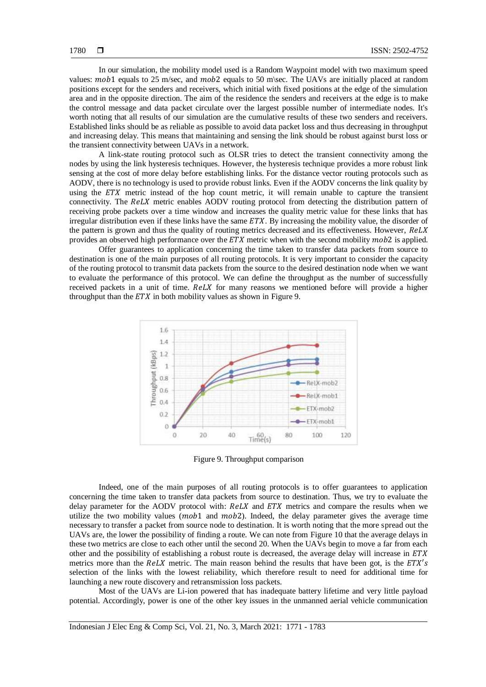In our simulation, the mobility model used is a Random Waypoint model with two maximum speed values:  $mob1$  equals to 25 m/sec, and  $mob2$  equals to 50 m/sec. The UAVs are initially placed at random positions except for the senders and receivers, which initial with fixed positions at the edge of the simulation area and in the opposite direction. The aim of the residence the senders and receivers at the edge is to make the control message and data packet circulate over the largest possible number of intermediate nodes. It's worth noting that all results of our simulation are the cumulative results of these two senders and receivers. Established links should be as reliable as possible to avoid data packet loss and thus decreasing in throughput and increasing delay. This means that maintaining and sensing the link should be robust against burst loss or the transient connectivity between UAVs in a network.

A link-state routing protocol such as OLSR tries to detect the transient connectivity among the nodes by using the link hysteresis techniques. However, the hysteresis technique provides a more robust link sensing at the cost of more delay before establishing links. For the distance vector routing protocols such as AODV, there is no technology is used to provide robust links. Even if the AODV concerns the link quality by using the  $ETX$  metric instead of the hop count metric, it will remain unable to capture the transient connectivity. The ReLX metric enables AODV routing protocol from detecting the distribution pattern of receiving probe packets over a time window and increases the quality metric value for these links that has irregular distribution even if these links have the same  $ETX$ . By increasing the mobility value, the disorder of the pattern is grown and thus the quality of routing metrics decreased and its effectiveness. However, ReLX provides an observed high performance over the  $ETX$  metric when with the second mobility  $mob2$  is applied.

Offer guarantees to application concerning the time taken to transfer data packets from source to destination is one of the main purposes of all routing protocols. It is very important to consider the capacity of the routing protocol to transmit data packets from the source to the desired destination node when we want to evaluate the performance of this protocol. We can define the throughput as the number of successfully received packets in a unit of time.  $ReLUX$  for many reasons we mentioned before will provide a higher throughput than the  $ETX$  in both mobility values as shown in Figure 9.



Figure 9. Throughput comparison

Indeed, one of the main purposes of all routing protocols is to offer guarantees to application concerning the time taken to transfer data packets from source to destination. Thus, we try to evaluate the delay parameter for the AODV protocol with:  $ReLU$  and  $ETX$  metrics and compare the results when we utilize the two mobility values  $(mob1$  and  $mob2)$ . Indeed, the delay parameter gives the average time necessary to transfer a packet from source node to destination. It is worth noting that the more spread out the UAVs are, the lower the possibility of finding a route. We can note from Figure 10 that the average delays in these two metrics are close to each other until the second 20. When the UAVs begin to move a far from each other and the possibility of establishing a robust route is decreased, the average delay will increase in  $ETX$ metrics more than the  $ReLUX$  metric. The main reason behind the results that have been got, is the  $ETX's$ selection of the links with the lowest reliability, which therefore result to need for additional time for launching a new route discovery and retransmission loss packets.

Most of the UAVs are Li-ion powered that has inadequate battery lifetime and very little payload potential. Accordingly, power is one of the other key issues in the unmanned aerial vehicle communication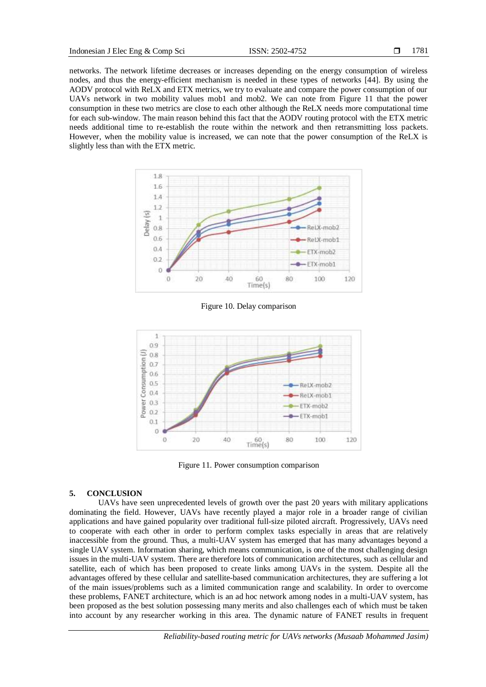networks. The network lifetime decreases or increases depending on the energy consumption of wireless nodes, and thus the energy-efficient mechanism is needed in these types of networks [44]. By using the AODV protocol with ReLX and ETX metrics, we try to evaluate and compare the power consumption of our UAVs network in two mobility values mob1 and mob2. We can note from Figure 11 that the power consumption in these two metrics are close to each other although the ReLX needs more computational time for each sub-window. The main reason behind this fact that the AODV routing protocol with the ETX metric needs additional time to re-establish the route within the network and then retransmitting loss packets. However, when the mobility value is increased, we can note that the power consumption of the ReLX is slightly less than with the ETX metric.



Figure 10. Delay comparison



Figure 11. Power consumption comparison

#### **5. CONCLUSION**

UAVs have seen unprecedented levels of growth over the past 20 years with military applications dominating the field. However, UAVs have recently played a major role in a broader range of civilian applications and have gained popularity over traditional full-size piloted aircraft. Progressively, UAVs need to cooperate with each other in order to perform complex tasks especially in areas that are relatively inaccessible from the ground. Thus, a multi-UAV system has emerged that has many advantages beyond a single UAV system. Information sharing, which means communication, is one of the most challenging design issues in the multi-UAV system. There are therefore lots of communication architectures, such as cellular and satellite, each of which has been proposed to create links among UAVs in the system. Despite all the advantages offered by these cellular and satellite-based communication architectures, they are suffering a lot of the main issues/problems such as a limited communication range and scalability. In order to overcome these problems, FANET architecture, which is an ad hoc network among nodes in a multi-UAV system, has been proposed as the best solution possessing many merits and also challenges each of which must be taken into account by any researcher working in this area. The dynamic nature of FANET results in frequent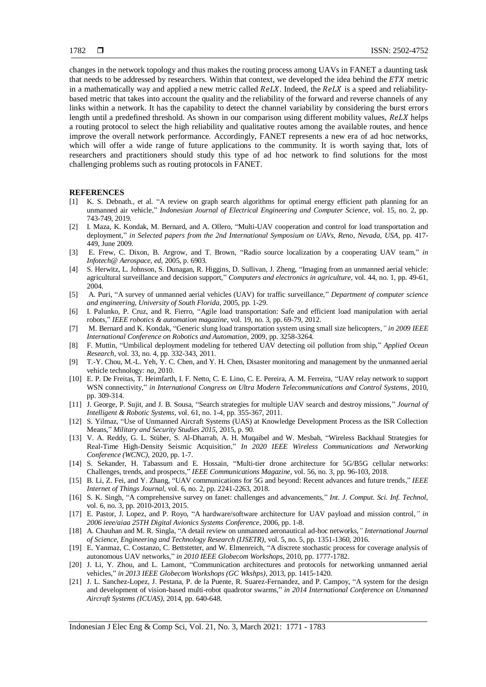changes in the network topology and thus makes the routing process among UAVs in FANET a daunting task that needs to be addressed by researchers. Within that context, we developed the idea behind the  $ETX$  metric in a mathematically way and applied a new metric called  $ReLUX$ . Indeed, the  $ReLUX$  is a speed and reliabilitybased metric that takes into account the quality and the reliability of the forward and reverse channels of any links within a network. It has the capability to detect the channel variability by considering the burst errors length until a predefined threshold. As shown in our comparison using different mobility values, ReLX helps a routing protocol to select the high reliability and qualitative routes among the available routes, and hence improve the overall network performance. Accordingly, FANET represents a new era of ad hoc networks, which will offer a wide range of future applications to the community. It is worth saying that, lots of researchers and practitioners should study this type of ad hoc network to find solutions for the most challenging problems such as routing protocols in FANET.

#### **REFERENCES**

- [1] K. S. Debnath., et al. "A review on graph search algorithms for optimal energy efficient path planning for an unmanned air vehicle," *Indonesian Journal of Electrical Engineering and Computer Science*, vol. 15, no. 2, pp. 743-749, 2019.
- [2] I. Maza, K. Kondak, M. Bernard, and A. Ollero, "Multi-UAV cooperation and control for load transportation and deployment," in Selected papers from the 2nd International Symposium on UAVs, Reno, Nevada, USA, pp. 417-449, June 2009.
- [3] E. Frew, C. Dixon, B. Argrow, and T. Brown, "Radio source localization by a cooperating UAV team," *in Infotech@ Aerospace, ed*, 2005, p. 6903.
- [4] S. Herwitz, L. Johnson, S. Dunagan, R. Higgins, D. Sullivan, J. Zheng, "Imaging from an unmanned aerial vehicle: agricultural surveillance and decision support," *Computers and electronics in agriculture*, vol. 44, no. 1, pp. 49-61, 2004.
- [5] A. Puri, "A survey of unmanned aerial vehicles (UAV) for traffic surveillance," *Department of computer science and engineering, University of South Florida*, 2005, pp. 1-29.
- [6] I. Palunko, P. Cruz, and R. Fierro, "Agile load transportation: Safe and efficient load manipulation with aerial robots," *IEEE robotics & automation magazine*, vol. 19, no. 3, pp. 69-79, 2012.
- [7] M. Bernard and K. Kondak, "Generic slung load transportation system using small size helicopters*," in 2009 IEEE International Conference on Robotics and Automation*, 2009, pp. 3258-3264.
- [8] F. Muttin, "Umbilical deployment modeling for tethered UAV detecting oil pollution from ship," *Applied Ocean Research*, vol. 33, no. 4, pp. 332-343, 2011.
- [9] T.-Y. Chou, M.-L. Yeh, Y. C. Chen, and Y. H. Chen, Disaster monitoring and management by the unmanned aerial vehicle technology*: na,* 2010.
- [10] E. P. De Freitas, T. Heimfarth, I. F. Netto, C. E. Lino, C. E. Pereira, A. M. Ferreira, "UAV relay network to support WSN connectivity," *in International Congress on Ultra Modern Telecommunications and Control Systems*, 2010, pp. 309-314.
- [11] J. George, P. Sujit, and J. B. Sousa, "Search strategies for multiple UAV search and destroy missions," *Journal of Intelligent & Robotic Systems*, vol. 61, no. 1-4, pp. 355-367, 2011.
- [12] S. Yilmaz, "Use of Unmanned Aircraft Systems (UAS) at Knowledge Development Process as the ISR Collection Means," *Military and Security Studies 2015*, 2015, p. 90.
- [13] V. A. Reddy, G. L. Stüber, S. Al-Dharrab, A. H. Muqaibel and W. Mesbah, "Wireless Backhaul Strategies for Real-Time High-Density Seismic Acquisition," *In 2020 IEEE Wireless Communications and Networking Conference (WCNC)*, 2020, pp. 1-7.
- [14] S. Sekander, H. Tabassum and E. Hossain, "Multi-tier drone architecture for 5G/B5G cellular networks: Challenges, trends, and prospects," *IEEE Communications Magazine*, vol. 56, no. 3, pp. 96-103, 2018.
- [15] B. Li, Z. Fei, and Y. Zhang, "UAV communications for 5G and beyond: Recent advances and future trends," *IEEE Internet of Things Journal*, vol. 6, no. 2, pp. 2241-2263, 2018.
- [16] S. K. Singh, "A comprehensive survey on fanet: challenges and advancements," *Int. J. Comput. Sci. Inf. Technol*, vol. 6, no. 3, pp. 2010-2013, 2015.
- [17] E. Pastor, J. Lopez, and P. Royo, "A hardware/software architecture for UAV payload and mission control*," in 2006 ieee/aiaa 25TH Digital Avionics Systems Conference*, 2006, pp. 1-8.
- [18] A. Chauhan and M. R. Singla, "A detail review on unmanned aeronautical ad-hoc networks*," International Journal of Science, Engineering and Technology Research (IJSETR)*, vol. 5, no. 5, pp. 1351-1360, 2016.
- [19] E. Yanmaz, C. Costanzo, C. Bettstetter, and W. Elmenreich, "A discrete stochastic process for coverage analysis of autonomous UAV networks," *in 2010 IEEE Globecom Workshops*, 2010, pp. 1777-1782.
- [20] J. Li, Y. Zhou, and L. Lamont, "Communication architectures and protocols for networking unmanned aerial vehicles," *in 2013 IEEE Globecom Workshops (GC Wkshps)*, 2013, pp. 1415-1420.
- [21] J. L. Sanchez-Lopez, J. Pestana, P. de la Puente, R. Suarez-Fernandez, and P. Campoy, "A system for the design and development of vision-based multi-robot quadrotor swarms," *in 2014 International Conference on Unmanned Aircraft Systems (ICUAS)*, 2014, pp. 640-648.